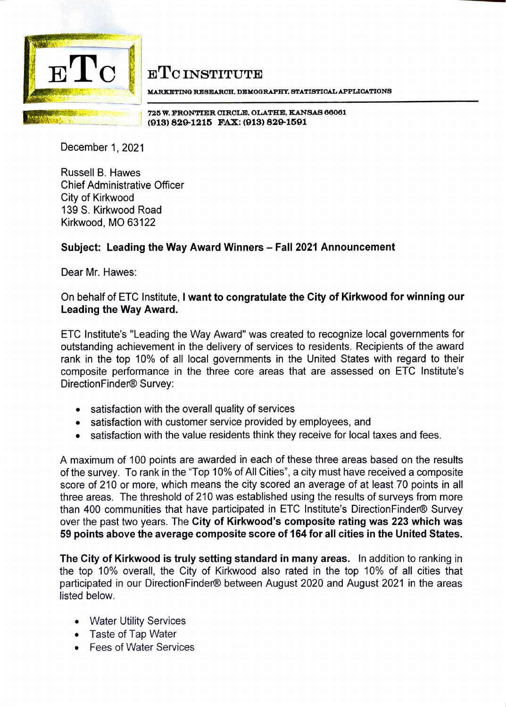

**ETC INSTITUTE** 

**MA.RKETING RESJIIAROH. DEMOGRAPHY, STATIBTIOALAPPLIOATIONS** 

~ °' I **72~ w. FRONTIER OIROLE, OLATHE, KANSAS 66061**  - }!l\V~~~ \_ \_ **(913) 829-12115 FAX: (913) 829-11591** 

December 1, 2021

Russell B. Hawes Chief Administrative Officer City of Kirkwood 139 S. Kirkwood Road Kirkwood, MO 63122

## **Subject: Leading the Way Award Winners** - **Fall 2021 Announcement**

Dear Mr. Hawes:

## On behalf of ETC Institute, I **want to congratulate the City of Kirkwood for winning our Leading the Way Award.**

ETC lnstitute's "Leading the Way Award" was created to recognize local governments for outstanding achievement in the delivery of services to residents. Recipients of the award rank in the top 10% of all local governments in the United States with regard to their composite performance in the three core areas that are assessed on ETC lnstitute's DirectionFinder® Survey:

- satisfaction with the overall quality of services
- satisfaction with customer service provided by employees, and
- satisfaction with the value residents think they receive for local taxes and fees.

A maximum of 100 points are awarded in each of these three areas based on the results of the survey. To rank in the "Top 10% of All Cities", a city must have received a composite score of 210 or more, which means the city scored an average of at least 70 points in all three areas. The threshold of 210 was established using the results of surveys from more than 400 communities that have participated in ETC lnstitute's DirectionFinder® Survey over the past two years. The **City of Kirkwood's composite rating was 223 which was 59 points above the average composite score of 164 for all cities in the United States.** 

**The City of Kirkwood is truly setting standard in many areas.** In addition to ranking in the top 10% overall, the City of Kirkwood also rated in the top 10% of all cities that participated in our DirectionFinder® between August 2020 and August 2021 in the areas listed below.

- Water Utility Services
- Taste of Tap Water
- Fees of Water Services